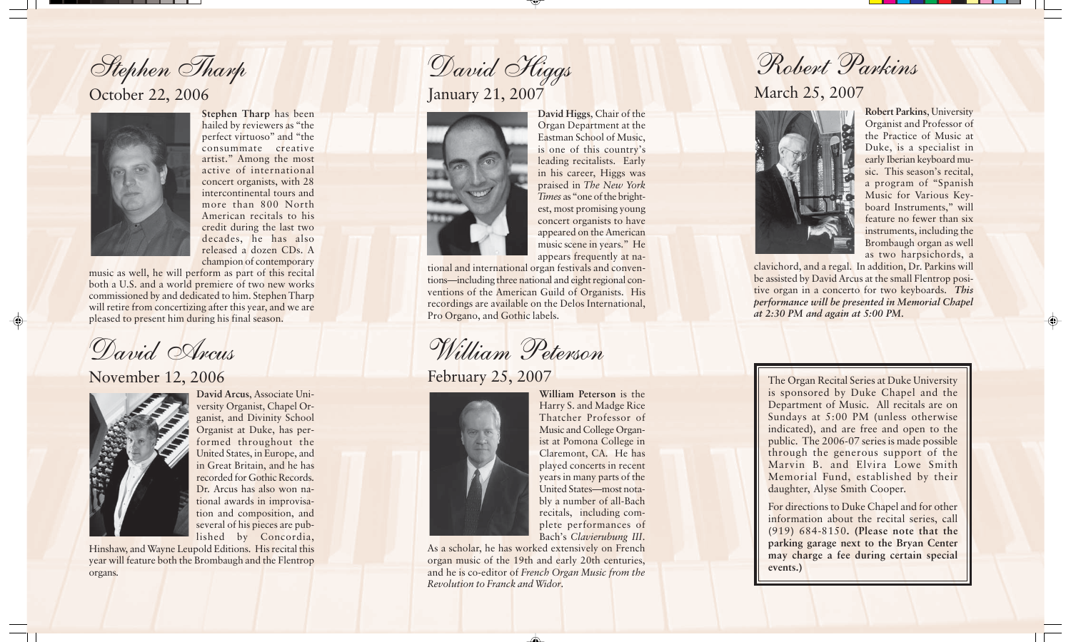Stephen Tharp

## October 22, 2006



 $\bigoplus$ 

**Stephen Tharp** has been hailed by reviewers as "the perfect virtuoso" and "the consummate creative artist." Among the most active of international concert organists, with 28 intercontinental tours and more than 800 North American recitals to his credit during the last two decades, he has also released a dozen CDs. A champion of contemporary

music as well, he will perform as part of this recital both a U.S. and a world premiere of two new works commissioned by and dedicated to him. Stephen Tharp will retire from concertizing after this year, and we are pleased to present him during his final season.

David Arcus

November 12, 2006



**David Arcus**, Associate University Organist, Chapel Organist, and Divinity School Organist at Duke, has performed throughout the United States, in Europe, and in Great Britain, and he has recorded for Gothic Records. Dr. Arcus has also won national awards in improvisation and composition, and several of his pieces are published by Concordia,

Hinshaw, and Wayne Leupold Editions. His recital this year will feature both the Brombaugh and the Flentrop organs.

January 21, 2007 David Higgs



**David Higgs**, Chair of the Organ Department at the Eastman School of Music, is one of this country's leading recitalists. Early in his career, Higgs was praised in *The New York Times* as "one of the brightest, most promising young concert organists to have appeared on the American music scene in years." He appears frequently at na-

tional and international organ festivals and conventions—including three national and eight regional conventions of the American Guild of Organists. His recordings are available on the Delos International, Pro Organo, and Gothic labels.

William Peterson

February 25, 2007



**William Peterson** is the Harry S. and Madge Rice Thatcher Professor of Music and College Organist at Pomona College in Claremont, CA. He has played concerts in recent years in many parts of the United States—most notably a number of all-Bach recitals, including complete performances of Bach's *Clavierubung III* .

As a scholar, he has worked extensively on French organ music of the 19th and early 20th centuries, and he is co-editor of *French Organ Music from the Revolution to Franck and Widor* .

</u>

Robert Parkins

## March 25, 2007



**Robert Parkins**, University Organist and Professor of the Practice of Music at Duke, is a specialist in early Iberian keyboard music. This season's recital, a program of "Spanish Music for Various Keyboard Instruments," will feature no fewer than six instruments, including the Brombaugh organ as well as two harpsichords, a

 $\spadesuit$ 

clavichord, and a regal. In addition, Dr. Parkins will be assisted by David Arcus at the small Flentrop positive organ in a concerto for two keyboards. *This performance will be presented in Memorial Chapel at 2:30 PM and again at 5:00 PM.*

The Organ Recital Series at Duke University is sponsored by Duke Chapel and the Department of Music. All recitals are on Sundays at 5:00 PM (unless otherwise indicated), and are free and open to the public. The 2006-07 series is made possible through the generous support of the Marvin B. and Elvira Lowe Smith Memorial Fund, established by their daughter, Alyse Smith Cooper.

For directions to Duke Chapel and for other information about the recital series, call (919) 684-8150**. (Please note that the parking garage next to the Bryan Center may charge a fee during certain special events.)**